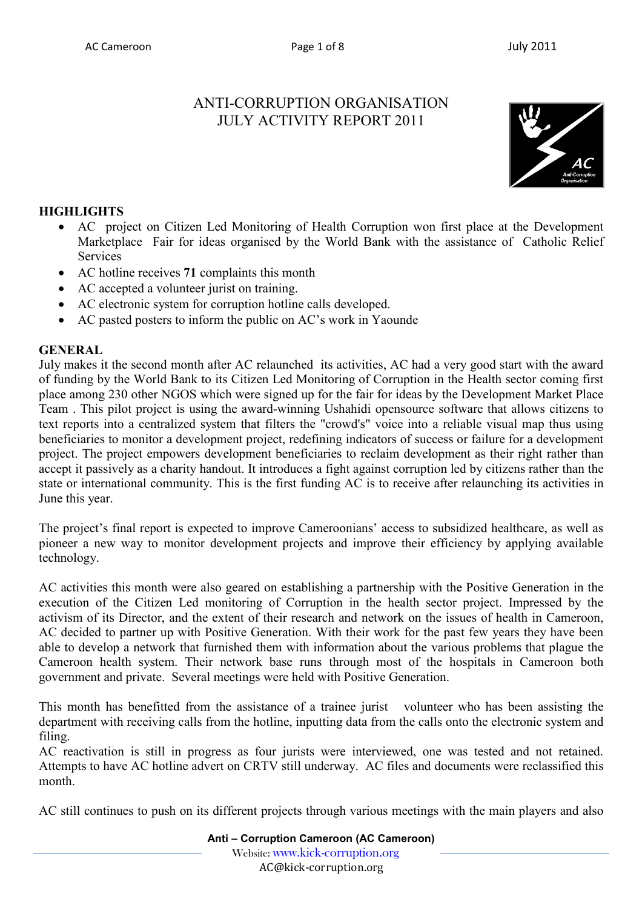# ANTI-CORRUPTION ORGANISATION JULY ACTIVITY REPORT 2011



# **HIGHLIGHTS**

- AC project on Citizen Led Monitoring of Health Corruption won first place at the Development Marketplace Fair for ideas organised by the World Bank with the assistance of Catholic Relief **Services**
- AC hotline receives **71** complaints this month
- AC accepted a volunteer jurist on training.
- AC electronic system for corruption hotline calls developed.
- AC pasted posters to inform the public on AC's work in Yaounde

### **GENERAL**

July makes it the second month after AC relaunched its activities, AC had a very good start with the award of funding by the World Bank to its Citizen Led Monitoring of Corruption in the Health sector coming first place among 230 other NGOS which were signed up for the fair for ideas by the Development Market Place Team . This pilot project is using the award-winning Ushahidi opensource software that allows citizens to text reports into a centralized system that filters the "crowd's" voice into a reliable visual map thus using beneficiaries to monitor a development project, redefining indicators of success or failure for a development project. The project empowers development beneficiaries to reclaim development as their right rather than accept it passively as a charity handout. It introduces a fight against corruption led by citizens rather than the state or international community. This is the first funding AC is to receive after relaunching its activities in June this year.

The project's final report is expected to improve Cameroonians' access to subsidized healthcare, as well as pioneer a new way to monitor development projects and improve their efficiency by applying available technology.

AC activities this month were also geared on establishing a partnership with the Positive Generation in the execution of the Citizen Led monitoring of Corruption in the health sector project. Impressed by the activism of its Director, and the extent of their research and network on the issues of health in Cameroon, AC decided to partner up with Positive Generation. With their work for the past few years they have been able to develop a network that furnished them with information about the various problems that plague the Cameroon health system. Their network base runs through most of the hospitals in Cameroon both government and private. Several meetings were held with Positive Generation.

This month has benefitted from the assistance of a trainee jurist volunteer who has been assisting the department with receiving calls from the hotline, inputting data from the calls onto the electronic system and filing.

AC reactivation is still in progress as four jurists were interviewed, one was tested and not retained. Attempts to have AC hotline advert on CRTV still underway. AC files and documents were reclassified this month.

AC still continues to push on its different projects through various meetings with the main players and also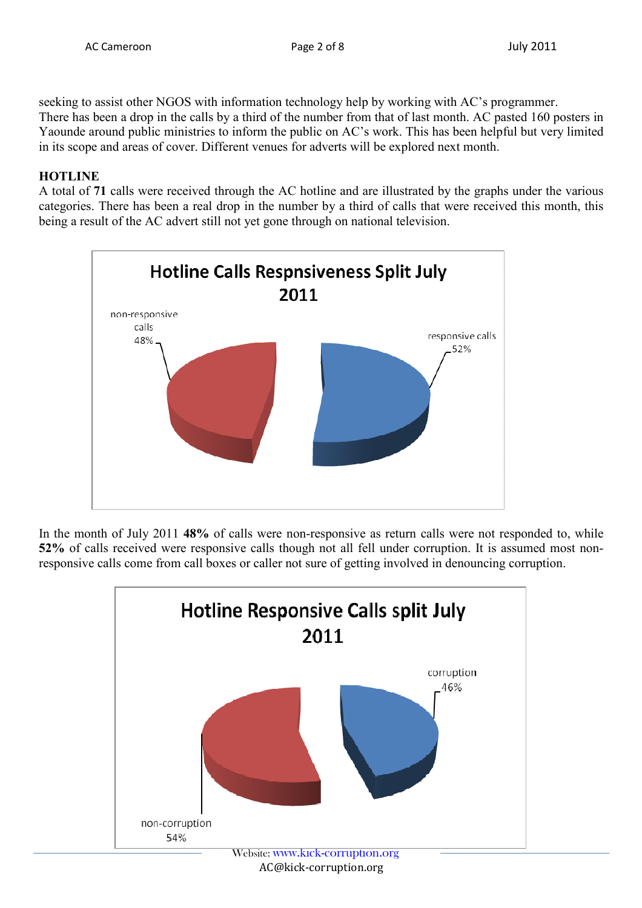seeking to assist other NGOS with information technology help by working with AC's programmer. There has been a drop in the calls by a third of the number from that of last month. AC pasted 160 posters in Yaounde around public ministries to inform the public on AC's work. This has been helpful but very limited in its scope and areas of cover. Different venues for adverts will be explored next month.

# **HOTLINE**

A total of **71** calls were received through the AC hotline and are illustrated by the graphs under the various categories. There has been a real drop in the number by a third of calls that were received this month, this being a result of the AC advert still not yet gone through on national television.



In the month of July 2011 **48%** of calls were non-responsive as return calls were not responded to, while **52%** of calls received were responsive calls though not all fell under corruption. It is assumed most nonresponsive calls come from call boxes or caller not sure of getting involved in denouncing corruption.

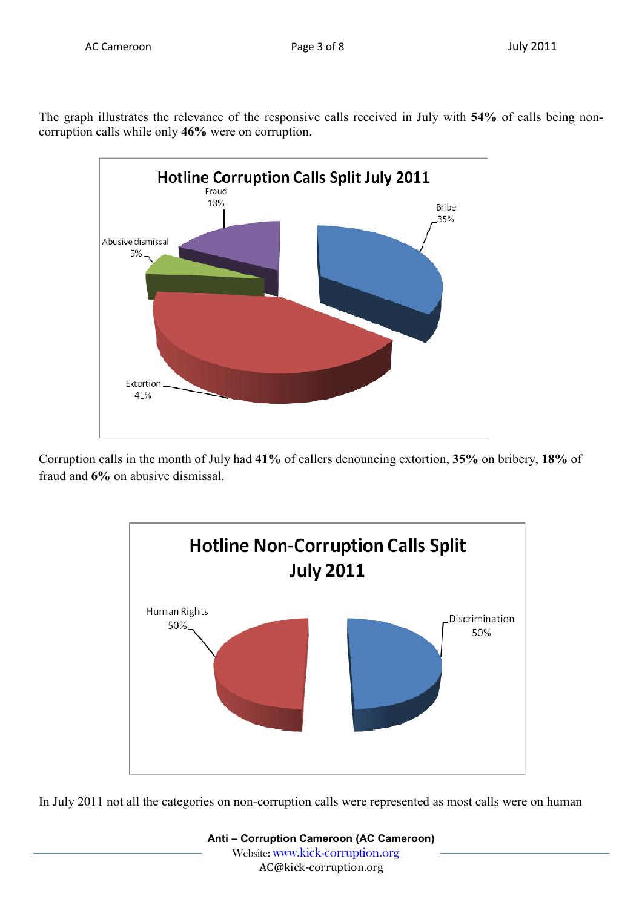The graph illustrates the relevance of the responsive calls received in July with **54%** of calls being noncorruption calls while only **46%** were on corruption.



Corruption calls in the month of July had **41%** of callers denouncing extortion, **35%** on bribery, **18%** of fraud and **6%** on abusive dismissal.



In July 2011 not all the categories on non-corruption calls were represented as most calls were on human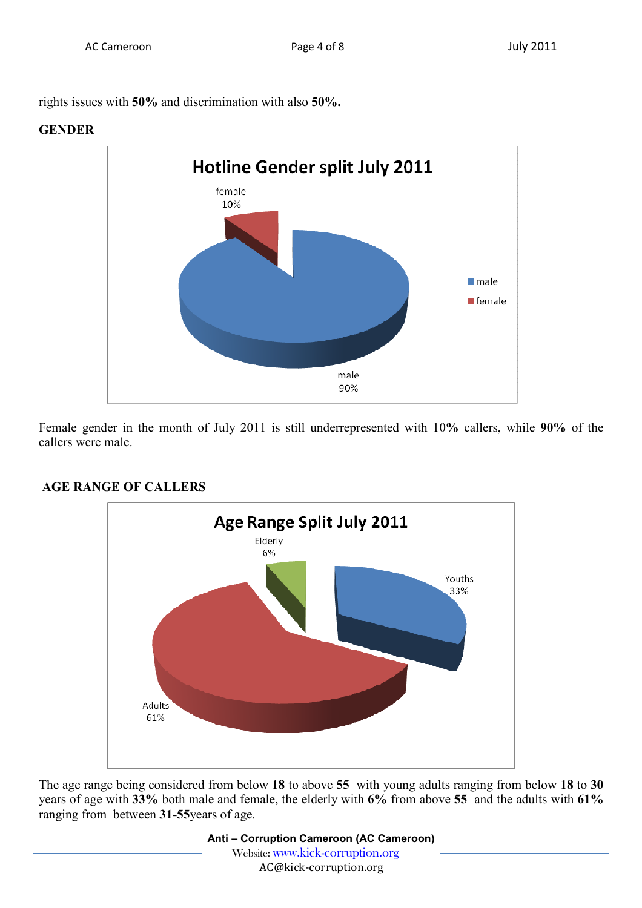rights issues with **50%** and discrimination with also **50%.**

#### **GENDER**



Female gender in the month of July 2011 is still underrepresented with 10**%** callers, while **90%** of the callers were male.



# **AGE RANGE OF CALLERS**

The age range being considered from below **18** to above **55** with young adults ranging from below **18** to **30** years of age with **33%** both male and female, the elderly with **6%** from above **55** and the adults with **61%** ranging from between **31-55**years of age.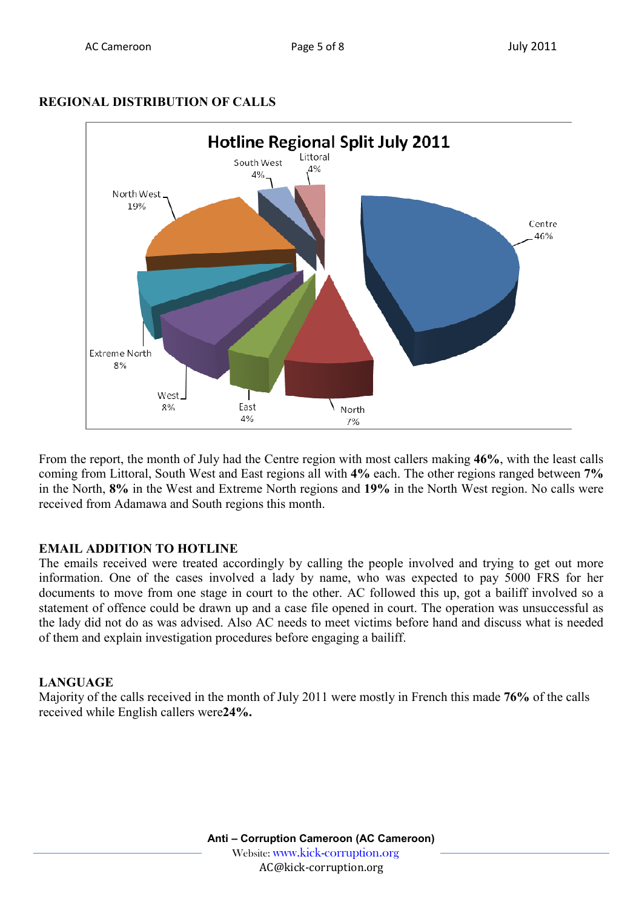### **REGIONAL DISTRIBUTION OF CALLS**



From the report, the month of July had the Centre region with most callers making **46%**, with the least calls coming from Littoral, South West and East regions all with **4%** each. The other regions ranged between **7%** in the North, **8%** in the West and Extreme North regions and **19%** in the North West region. No calls were received from Adamawa and South regions this month.

# **EMAIL ADDITION TO HOTLINE**

The emails received were treated accordingly by calling the people involved and trying to get out more information. One of the cases involved a lady by name, who was expected to pay 5000 FRS for her documents to move from one stage in court to the other. AC followed this up, got a bailiff involved so a statement of offence could be drawn up and a case file opened in court. The operation was unsuccessful as the lady did not do as was advised. Also AC needs to meet victims before hand and discuss what is needed of them and explain investigation procedures before engaging a bailiff.

# **LANGUAGE**

Majority of the calls received in the month of July 2011 were mostly in French this made **76%** of the calls received while English callers were**24%.**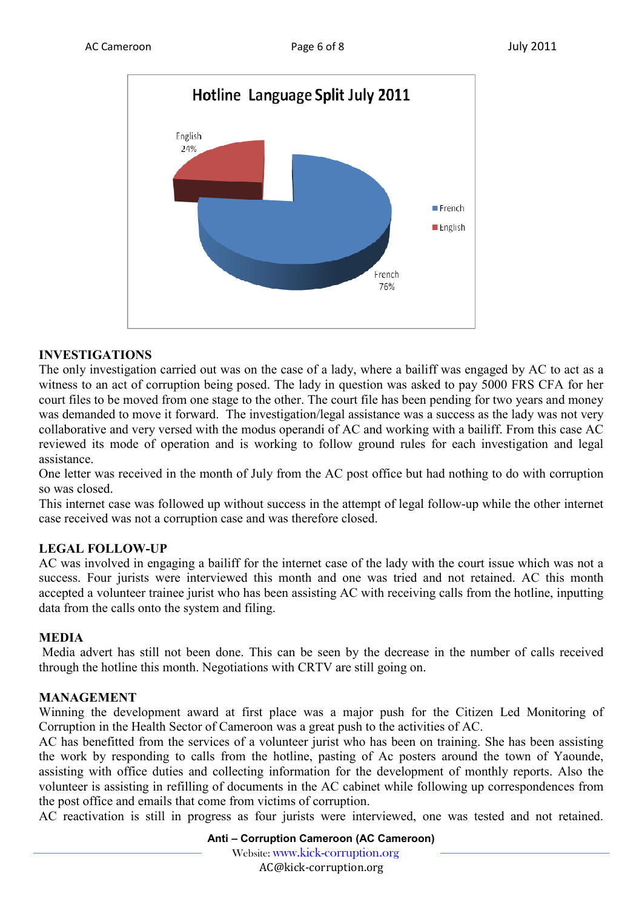

### **INVESTIGATIONS**

The only investigation carried out was on the case of a lady, where a bailiff was engaged by AC to act as a witness to an act of corruption being posed. The lady in question was asked to pay 5000 FRS CFA for her court files to be moved from one stage to the other. The court file has been pending for two years and money was demanded to move it forward. The investigation/legal assistance was a success as the lady was not very collaborative and very versed with the modus operandi of AC and working with a bailiff. From this case AC reviewed its mode of operation and is working to follow ground rules for each investigation and legal assistance.

One letter was received in the month of July from the AC post office but had nothing to do with corruption so was closed.

This internet case was followed up without success in the attempt of legal follow-up while the other internet case received was not a corruption case and was therefore closed.

# **LEGAL FOLLOW-UP**

AC was involved in engaging a bailiff for the internet case of the lady with the court issue which was not a success. Four jurists were interviewed this month and one was tried and not retained. AC this month accepted a volunteer trainee jurist who has been assisting AC with receiving calls from the hotline, inputting data from the calls onto the system and filing.

#### **MEDIA**

 Media advert has still not been done. This can be seen by the decrease in the number of calls received through the hotline this month. Negotiations with CRTV are still going on.

#### **MANAGEMENT**

Winning the development award at first place was a major push for the Citizen Led Monitoring of Corruption in the Health Sector of Cameroon was a great push to the activities of AC.

AC has benefitted from the services of a volunteer jurist who has been on training. She has been assisting the work by responding to calls from the hotline, pasting of Ac posters around the town of Yaounde, assisting with office duties and collecting information for the development of monthly reports. Also the volunteer is assisting in refilling of documents in the AC cabinet while following up correspondences from the post office and emails that come from victims of corruption.

AC reactivation is still in progress as four jurists were interviewed, one was tested and not retained.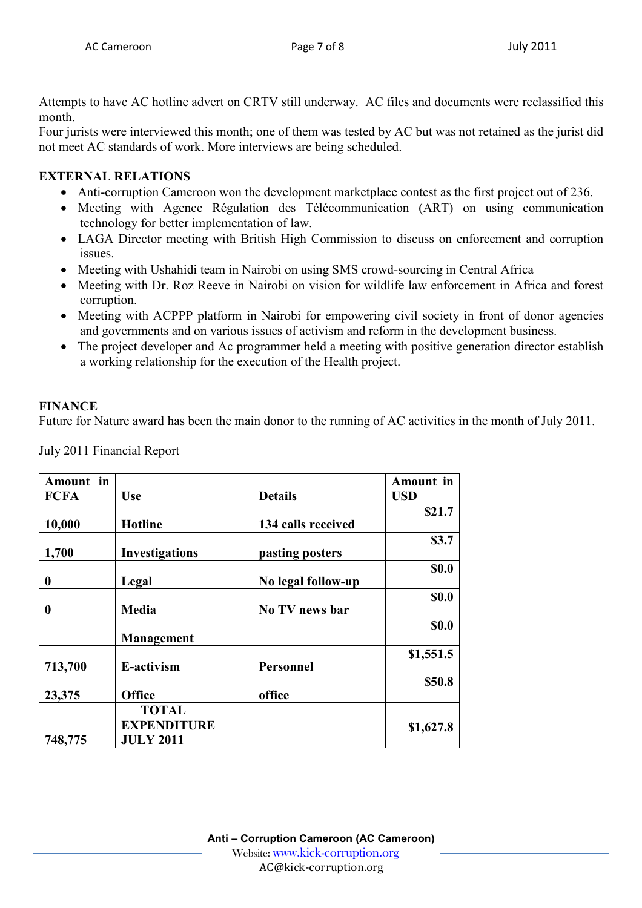Attempts to have AC hotline advert on CRTV still underway. AC files and documents were reclassified this month.

Four jurists were interviewed this month; one of them was tested by AC but was not retained as the jurist did not meet AC standards of work. More interviews are being scheduled.

### **EXTERNAL RELATIONS**

- Anti-corruption Cameroon won the development marketplace contest as the first project out of 236.
- Meeting with Agence Régulation des Télécommunication (ART) on using communication technology for better implementation of law.
- LAGA Director meeting with British High Commission to discuss on enforcement and corruption issues.
- Meeting with Ushahidi team in Nairobi on using SMS crowd-sourcing in Central Africa
- Meeting with Dr. Roz Reeve in Nairobi on vision for wildlife law enforcement in Africa and forest corruption.
- Meeting with ACPPP platform in Nairobi for empowering civil society in front of donor agencies and governments and on various issues of activism and reform in the development business.
- The project developer and Ac programmer held a meeting with positive generation director establish a working relationship for the execution of the Health project.

# **FINANCE**

Future for Nature award has been the main donor to the running of AC activities in the month of July 2011.

July 2011 Financial Report

| Amount in        |                       |                    | <b>Amount</b> in |
|------------------|-----------------------|--------------------|------------------|
| <b>FCFA</b>      | <b>Use</b>            | <b>Details</b>     | <b>USD</b>       |
|                  |                       |                    | \$21.7           |
| 10,000           | <b>Hotline</b>        | 134 calls received |                  |
|                  |                       |                    | \$3.7            |
| 1,700            | <b>Investigations</b> | pasting posters    |                  |
|                  |                       |                    | \$0.0            |
| $\boldsymbol{0}$ | Legal                 | No legal follow-up |                  |
|                  |                       |                    | \$0.0            |
| 0                | <b>Media</b>          | No TV news bar     |                  |
|                  |                       |                    | \$0.0            |
|                  | <b>Management</b>     |                    |                  |
|                  |                       |                    | \$1,551.5        |
| 713,700          | E-activism            | Personnel          |                  |
|                  |                       |                    | \$50.8           |
| 23,375           | <b>Office</b>         | office             |                  |
|                  | <b>TOTAL</b>          |                    |                  |
|                  | <b>EXPENDITURE</b>    |                    | \$1,627.8        |
| 748,775          | <b>JULY 2011</b>      |                    |                  |